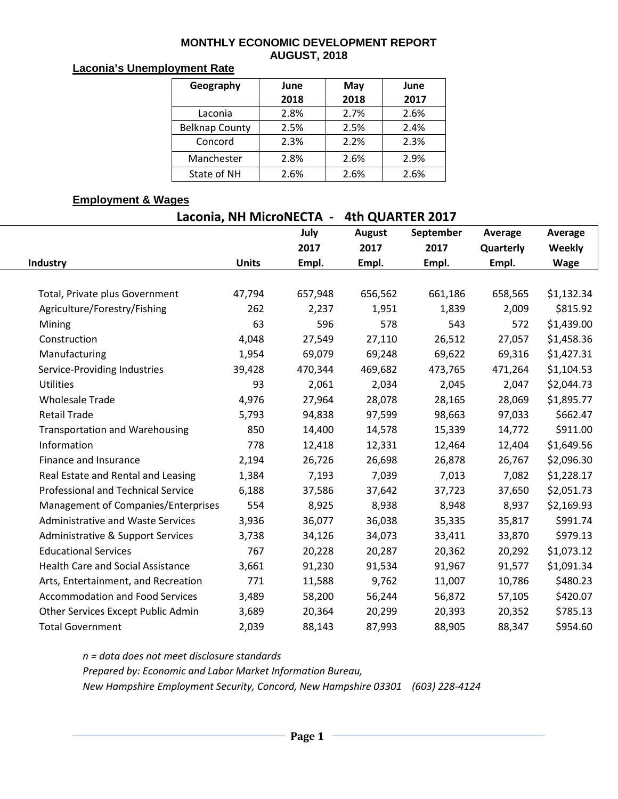#### **MONTHLY ECONOMIC DEVELOPMENT REPORT AUGUST, 2018**

### **Laconia's Unemployment Rate**

| Geography             | June | May  | June |  |  |
|-----------------------|------|------|------|--|--|
|                       | 2018 | 2018 | 2017 |  |  |
| Laconia               | 2.8% | 2.7% | 2.6% |  |  |
| <b>Belknap County</b> | 2.5% | 2.5% | 2.4% |  |  |
| Concord               | 2.3% | 2.2% | 2.3% |  |  |
| Manchester            | 2.8% | 2.6% | 2.9% |  |  |
| State of NH           | 2.6% | 2.6% | 2.6% |  |  |

## **Employment & Wages**

**Laconia, NH MicroNECTA - 4th QUARTER 2017**

|                                           |              | July    | <b>August</b> | September | Average   | Average     |
|-------------------------------------------|--------------|---------|---------------|-----------|-----------|-------------|
|                                           |              | 2017    | 2017          | 2017      | Quarterly | Weekly      |
| Industry                                  | <b>Units</b> | Empl.   | Empl.         | Empl.     | Empl.     | <b>Wage</b> |
|                                           |              |         |               |           |           |             |
| Total, Private plus Government            | 47,794       | 657,948 | 656,562       | 661,186   | 658,565   | \$1,132.34  |
| Agriculture/Forestry/Fishing              | 262          | 2,237   | 1,951         | 1,839     | 2,009     | \$815.92    |
| Mining                                    | 63           | 596     | 578           | 543       | 572       | \$1,439.00  |
| Construction                              | 4,048        | 27,549  | 27,110        | 26,512    | 27,057    | \$1,458.36  |
| Manufacturing                             | 1,954        | 69,079  | 69,248        | 69,622    | 69,316    | \$1,427.31  |
| Service-Providing Industries              | 39,428       | 470,344 | 469,682       | 473,765   | 471,264   | \$1,104.53  |
| <b>Utilities</b>                          | 93           | 2,061   | 2,034         | 2,045     | 2,047     | \$2,044.73  |
| <b>Wholesale Trade</b>                    | 4,976        | 27,964  | 28,078        | 28,165    | 28,069    | \$1,895.77  |
| <b>Retail Trade</b>                       | 5,793        | 94,838  | 97,599        | 98,663    | 97,033    | \$662.47    |
| <b>Transportation and Warehousing</b>     | 850          | 14,400  | 14,578        | 15,339    | 14,772    | \$911.00    |
| Information                               | 778          | 12,418  | 12,331        | 12,464    | 12,404    | \$1,649.56  |
| Finance and Insurance                     | 2,194        | 26,726  | 26,698        | 26,878    | 26,767    | \$2,096.30  |
| Real Estate and Rental and Leasing        | 1,384        | 7,193   | 7,039         | 7,013     | 7,082     | \$1,228.17  |
| <b>Professional and Technical Service</b> | 6,188        | 37,586  | 37,642        | 37,723    | 37,650    | \$2,051.73  |
| Management of Companies/Enterprises       | 554          | 8,925   | 8,938         | 8,948     | 8,937     | \$2,169.93  |
| <b>Administrative and Waste Services</b>  | 3,936        | 36,077  | 36,038        | 35,335    | 35,817    | \$991.74    |
| Administrative & Support Services         | 3,738        | 34,126  | 34,073        | 33,411    | 33,870    | \$979.13    |
| <b>Educational Services</b>               | 767          | 20,228  | 20,287        | 20,362    | 20,292    | \$1,073.12  |
| <b>Health Care and Social Assistance</b>  | 3,661        | 91,230  | 91,534        | 91,967    | 91,577    | \$1,091.34  |
| Arts, Entertainment, and Recreation       | 771          | 11,588  | 9,762         | 11,007    | 10,786    | \$480.23    |
| <b>Accommodation and Food Services</b>    | 3,489        | 58,200  | 56,244        | 56,872    | 57,105    | \$420.07    |
| Other Services Except Public Admin        | 3,689        | 20,364  | 20,299        | 20,393    | 20,352    | \$785.13    |
| <b>Total Government</b>                   | 2,039        | 88,143  | 87,993        | 88,905    | 88,347    | \$954.60    |

*n = data does not meet disclosure standards*

*Prepared by: Economic and Labor Market Information Bureau,* 

*New Hampshire Employment Security, Concord, New Hampshire 03301 (603) 228-4124*